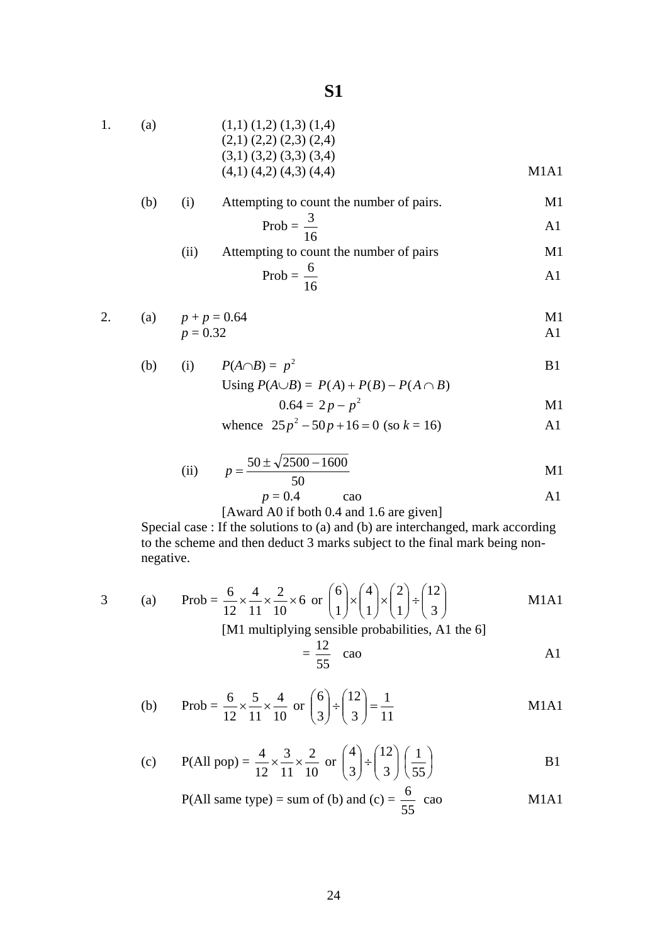| 1. | (a) | $(1,1)$ $(1,2)$ $(1,3)$ $(1,4)$ |      |
|----|-----|---------------------------------|------|
|    |     | $(2,1)$ $(2,2)$ $(2,3)$ $(2,4)$ |      |
|    |     | $(3,1)$ $(3,2)$ $(3,3)$ $(3,4)$ |      |
|    |     | $(4,1)$ $(4,2)$ $(4,3)$ $(4,4)$ | M1A1 |
|    |     |                                 |      |

| (b) |      | Attempting to count the number of pairs. |     |
|-----|------|------------------------------------------|-----|
|     |      | Prob = $\frac{3}{x}$                     | A I |
|     | (11) | Attempting to count the number of pairs  | M1  |

$$
Prob = \frac{6}{16}
$$

2. (a) 
$$
p + p = 0.64
$$
  
  $p = 0.32$    
  $p = 0.32$ 

(b) (i) 
$$
P(A \cap B) = p^2
$$
  
\nUsing  $P(A \cup B) = P(A) + P(B) - P(A \cap B)$ 

$$
0.64 = 2p - p^2 \tag{M1}
$$

whence 
$$
25p^2 - 50p + 16 = 0
$$
 (so  $k = 16$ ) A1

(ii) 
$$
p = \frac{50 \pm \sqrt{2500 - 1600}}{50}
$$
 M1

$$
p = 0.4 \qquad \text{cao} \qquad \qquad \text{A1}
$$

[Award A0 if both 0.4 and 1.6 are given]

Special case : If the solutions to (a) and (b) are interchanged, mark according to the scheme and then deduct 3 marks subject to the final mark being nonnegative.

3 (a) Prob = 
$$
\frac{6}{12} \times \frac{4}{11} \times \frac{2}{10} \times 6
$$
 or  $\binom{6}{1} \times \binom{4}{1} \times \binom{2}{1} \div \binom{12}{3}$  M1A1

[M1 multiplying sensible probabilities, A1 the 6]

$$
=\frac{12}{55} \quad \text{cao} \tag{A1}
$$

(b) Prob = 
$$
\frac{6}{12} \times \frac{5}{11} \times \frac{4}{10}
$$
 or  $\binom{6}{3} \div \binom{12}{3} = \frac{1}{11}$  M1A1

(c) P(All pop) = 
$$
\frac{4}{12} \times \frac{3}{11} \times \frac{2}{10}
$$
 or  $\binom{4}{3} \div \binom{12}{3} \left(\frac{1}{55}\right)$  B1

P(All same type) = sum of (b) and (c) = 
$$
\frac{6}{55}
$$
 cao M1A1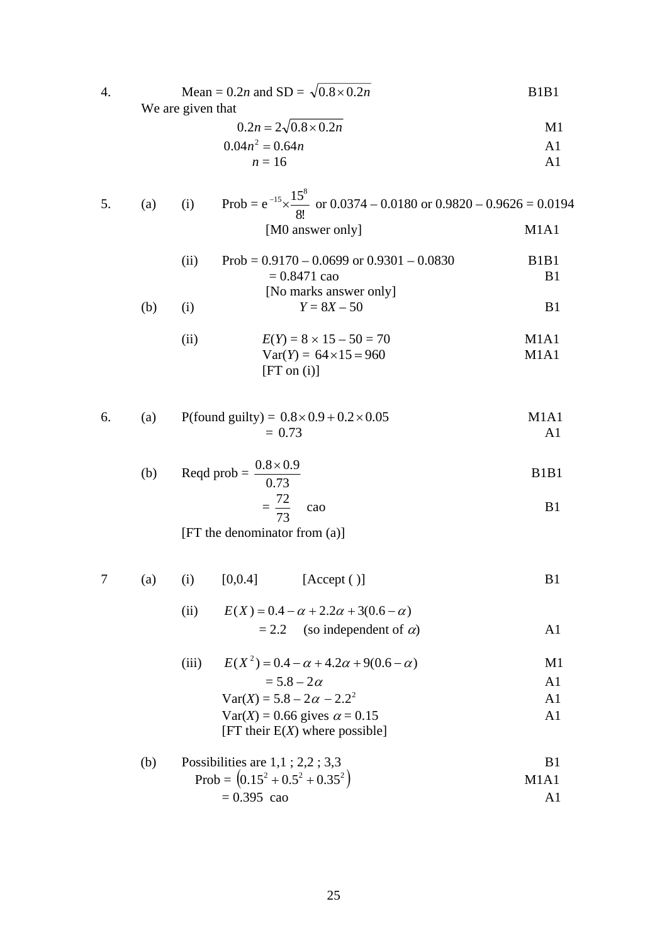| 4. |     | Mean = $0.2n$ and SD = $\sqrt{0.8 \times 0.2n}$<br>We are given that                          | B <sub>1</sub> B <sub>1</sub>                   |
|----|-----|-----------------------------------------------------------------------------------------------|-------------------------------------------------|
|    |     | $0.2n = 2\sqrt{0.8 \times 0.2n}$                                                              | M1                                              |
|    |     | $0.04n^2 = 0.64n$                                                                             | A1                                              |
|    |     | $n=16$                                                                                        | A <sub>1</sub>                                  |
| 5. | (a) | Prob = $e^{-15} \times \frac{15^8}{8!}$ or 0.0374 – 0.0180 or 0.9820 – 0.9626 = 0.0194<br>(i) |                                                 |
|    |     | [M0 answer only]                                                                              | M <sub>1</sub> A <sub>1</sub>                   |
|    |     | Prob = $0.9170 - 0.0699$ or $0.9301 - 0.0830$<br>(ii)<br>$= 0.8471$ cao                       | B <sub>1</sub> B <sub>1</sub><br>B <sub>1</sub> |
|    |     | [No marks answer only]                                                                        |                                                 |
|    | (b) | $Y = 8X - 50$<br>(i)                                                                          | B <sub>1</sub>                                  |
|    |     | $E(Y) = 8 \times 15 - 50 = 70$<br>(ii)                                                        | M1A1                                            |
|    |     | $Var(Y) = 64 \times 15 = 960$                                                                 | M <sub>1</sub> A <sub>1</sub>                   |
|    |     | [FT on (i)]                                                                                   |                                                 |
| 6. | (a) | P(found guilty) = $0.8 \times 0.9 + 0.2 \times 0.05$                                          | M <sub>1</sub> A <sub>1</sub>                   |
|    |     | $= 0.73$                                                                                      | A <sub>1</sub>                                  |
|    | (b) | Reqd prob = $\frac{0.8 \times 0.9}{0.73}$                                                     | B <sub>1</sub> B <sub>1</sub>                   |
|    |     | $=\frac{72}{73}$ cao                                                                          | B <sub>1</sub>                                  |
|    |     | [FT the denominator from (a)]                                                                 |                                                 |
| 7  |     | (a) (i) $[0,0.4]$<br>[Accept ()]                                                              | B <sub>1</sub>                                  |
|    |     | $E(X) = 0.4 - \alpha + 2.2\alpha + 3(0.6 - \alpha)$<br>(ii)                                   |                                                 |
|    |     | $= 2.2$ (so independent of $\alpha$ )                                                         | A1                                              |
|    |     |                                                                                               |                                                 |
|    |     | $E(X^2) = 0.4 - \alpha + 4.2\alpha + 9(0.6 - \alpha)$<br>(iii)                                | M <sub>1</sub>                                  |
|    |     | $= 5.8 - 2\alpha$                                                                             | A <sub>1</sub>                                  |
|    |     | $Var(X) = 5.8 - 2\alpha - 2.2^2$                                                              | A <sub>1</sub>                                  |
|    |     | $Var(X) = 0.66$ gives $\alpha = 0.15$                                                         | A <sub>1</sub>                                  |

- [FT their E(*X*) where possible]
- (b) Possibilities are  $1,1; 2,2; 3,3$  B1  $Prob = (0.15^2 + 0.5^2 + 0.35^2)$  M1A1
	- $= 0.395$  cao A1